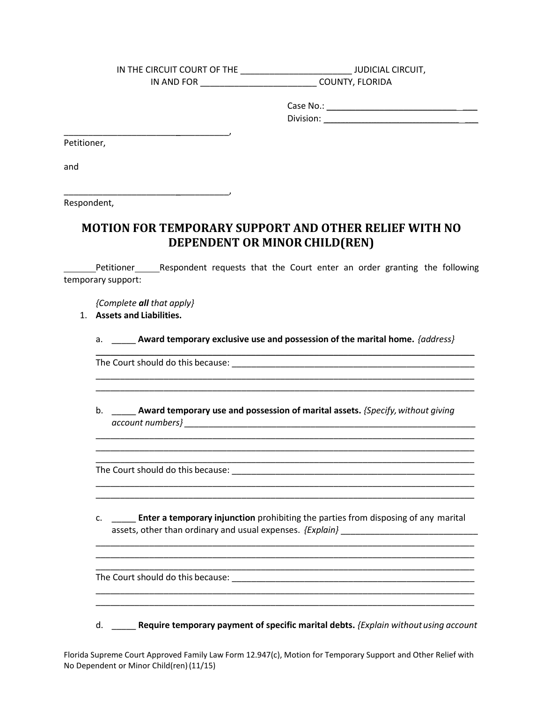IN THE CIRCUIT COURT OF THE \_\_\_\_\_\_\_\_\_\_\_\_\_\_\_\_\_\_\_\_\_\_\_ JUDICIAL CIRCUIT, IN AND FOR \_\_\_\_\_\_\_\_\_\_\_\_\_\_\_\_\_\_\_\_\_\_\_\_ COUNTY, FLORIDA

> Case No.: \_\_\_\_\_\_\_\_\_\_\_\_\_\_\_\_\_\_\_\_\_\_\_\_\_\_\_ \_\_\_ Division: \_\_\_\_\_\_\_\_\_\_\_\_\_\_\_\_\_\_\_\_\_\_\_\_\_\_\_\_\_\_\_\_\_\_\_\_\_\_\_\_\_\_\_\_\_\_\_\_\_\_\_\_\_\_\_\_\_\_\_\_\_\_\_\_\_\_\_\_\_\_\_\_\_\_\_\_\_\_\_\_\_\_ \_\_\_\_\_\_\_\_

Petitioner,

and

Respondent,

## **MOTION FOR TEMPORARY SUPPORT AND OTHER RELIEF WITH NO DEPENDENT OR MINOR CHILD(REN)**

L temporary support: **EXECO** Petitioner Respondent requests that the Court enter an order granting the following

*{Complete all that apply}* 

\_\_\_\_\_\_\_\_\_\_\_\_\_\_\_\_\_\_\_\_\_\_\_\_\_\_\_\_\_\_\_\_\_\_,

\_\_\_\_\_\_\_\_\_\_\_\_\_\_\_\_\_\_\_\_\_\_\_\_\_\_\_\_\_\_\_\_\_\_,

1. **Assets and Liabilities.** 

a. \_\_\_\_\_ **Award temporary exclusive use and possession of the marital home.** *{address}* 

\_\_\_\_\_\_\_\_\_\_\_\_\_\_\_\_\_\_\_\_\_\_\_\_\_\_\_\_\_\_\_\_\_\_\_\_\_\_\_\_\_\_\_\_\_\_\_\_\_\_\_\_\_\_\_\_\_\_\_\_\_\_\_\_\_\_\_\_\_\_\_\_\_\_\_\_\_\_

\_\_\_\_\_\_\_\_\_\_\_\_\_\_\_\_\_\_\_\_\_\_\_\_\_\_\_\_\_\_\_\_\_\_\_\_\_\_\_\_\_\_\_\_\_\_\_\_\_\_\_\_\_\_\_\_\_\_\_\_\_\_\_\_\_\_\_\_\_\_\_\_\_\_\_\_\_\_ \_\_\_\_\_\_\_\_\_\_\_\_\_\_\_\_\_\_\_\_\_\_\_\_\_\_\_\_\_\_\_\_\_\_\_\_\_\_\_\_\_\_\_\_\_\_\_\_\_\_\_\_\_\_\_\_\_\_\_\_\_\_\_\_\_\_\_\_\_\_\_\_\_\_\_\_\_\_

\_\_\_\_\_\_\_\_\_\_\_\_\_\_\_\_\_\_\_\_\_\_\_\_\_\_\_\_\_\_\_\_\_\_\_\_\_\_\_\_\_\_\_\_\_\_\_\_\_\_\_\_\_\_\_\_\_\_\_\_\_\_\_\_\_\_\_\_\_\_\_\_\_\_\_\_\_\_ \_\_\_\_\_\_\_\_\_\_\_\_\_\_\_\_\_\_\_\_\_\_\_\_\_\_\_\_\_\_\_\_\_\_\_\_\_\_\_\_\_\_\_\_\_\_\_\_\_\_\_\_\_\_\_\_\_\_\_\_\_\_\_\_\_\_\_\_\_\_\_\_\_\_\_\_\_\_ \_\_\_\_\_\_\_\_\_\_\_\_\_\_\_\_\_\_\_\_\_\_\_\_\_\_\_\_\_\_\_\_\_\_\_\_\_\_\_\_\_\_\_\_\_\_\_\_\_\_\_\_\_\_\_\_\_\_\_\_\_\_\_\_\_\_\_\_\_\_\_\_\_\_\_\_\_\_

\_\_\_\_\_\_\_\_\_\_\_\_\_\_\_\_\_\_\_\_\_\_\_\_\_\_\_\_\_\_\_\_\_\_\_\_\_\_\_\_\_\_\_\_\_\_\_\_\_\_\_\_\_\_\_\_\_\_\_\_\_\_\_\_\_\_\_\_\_\_\_\_\_\_\_\_\_\_ \_\_\_\_\_\_\_\_\_\_\_\_\_\_\_\_\_\_\_\_\_\_\_\_\_\_\_\_\_\_\_\_\_\_\_\_\_\_\_\_\_\_\_\_\_\_\_\_\_\_\_\_\_\_\_\_\_\_\_\_\_\_\_\_\_\_\_\_\_\_\_\_\_\_\_\_\_\_

The Court should do this because: \_\_\_\_\_\_\_\_\_\_\_\_\_\_\_\_\_\_\_\_\_\_\_\_\_\_\_\_\_\_\_\_\_\_\_\_\_\_\_\_\_\_\_\_\_\_\_\_\_\_

b. **\_\_\_\_\_ Award temporary use and possession of marital assets.** *{Specify, without giving account numbers} \_\_\_\_\_\_\_\_\_\_\_\_\_\_\_\_\_\_\_\_\_\_\_\_\_\_\_\_\_\_\_\_\_\_\_\_\_\_\_\_\_\_\_\_\_\_\_\_\_\_\_\_\_\_\_\_\_\_\_\_* 

The Court should do this because: \_\_\_\_\_\_\_\_\_\_\_\_\_\_\_\_\_\_\_\_\_\_\_\_\_\_\_\_\_\_\_\_\_\_\_\_\_\_\_\_\_\_\_\_\_\_\_\_\_\_

 c. \_\_\_\_\_ **Enter a temporary injunction** prohibiting the parties from disposing of any marital assets, other than ordinary and usual expenses. *{Explain}* \_\_\_\_\_\_\_\_\_\_\_\_\_\_\_\_\_\_\_\_\_\_\_\_\_\_\_\_

\_\_\_\_\_\_\_\_\_\_\_\_\_\_\_\_\_\_\_\_\_\_\_\_\_\_\_\_\_\_\_\_\_\_\_\_\_\_\_\_\_\_\_\_\_\_\_\_\_\_\_\_\_\_\_\_\_\_\_\_\_\_\_\_\_\_\_\_\_\_\_\_\_\_\_\_\_\_ \_\_\_\_\_\_\_\_\_\_\_\_\_\_\_\_\_\_\_\_\_\_\_\_\_\_\_\_\_\_\_\_\_\_\_\_\_\_\_\_\_\_\_\_\_\_\_\_\_\_\_\_\_\_\_\_\_\_\_\_\_\_\_\_\_\_\_\_\_\_\_\_\_\_\_\_\_\_ \_\_\_\_\_\_\_\_\_\_\_\_\_\_\_\_\_\_\_\_\_\_\_\_\_\_\_\_\_\_\_\_\_\_\_\_\_\_\_\_\_\_\_\_\_\_\_\_\_\_\_\_\_\_\_\_\_\_\_\_\_\_\_\_\_\_\_\_\_\_\_\_\_\_\_\_\_\_

The Court should do this because: \_\_\_\_\_\_\_\_\_\_\_\_\_\_\_\_\_\_\_\_\_\_\_\_\_\_\_\_\_\_\_\_\_\_\_\_\_\_\_\_\_\_\_\_\_\_\_\_\_\_

 d. \_\_\_\_\_ **Require temporary payment of specific marital debts.** *{Explain without using account* 

\_\_\_\_\_\_\_\_\_\_\_\_\_\_\_\_\_\_\_\_\_\_\_\_\_\_\_\_\_\_\_\_\_\_\_\_\_\_\_\_\_\_\_\_\_\_\_\_\_\_\_\_\_\_\_\_\_\_\_\_\_\_\_\_\_\_\_\_\_\_\_\_\_\_\_\_\_\_

 Florida Supreme Court Approved Family Law Form 12.947(c), Motion for Temporary Support and Other Relief with No Dependent or Minor Child(ren) (11/15)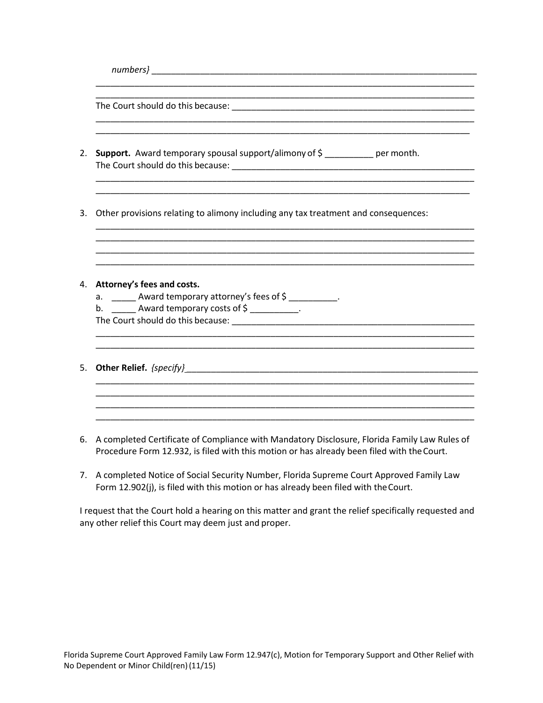| Support. Award temporary spousal support/alimony of \$ __________ per month.                                                                                                                                                                                                                                                                                                                                                                                                                                                |  |
|-----------------------------------------------------------------------------------------------------------------------------------------------------------------------------------------------------------------------------------------------------------------------------------------------------------------------------------------------------------------------------------------------------------------------------------------------------------------------------------------------------------------------------|--|
|                                                                                                                                                                                                                                                                                                                                                                                                                                                                                                                             |  |
| Other provisions relating to alimony including any tax treatment and consequences:                                                                                                                                                                                                                                                                                                                                                                                                                                          |  |
| Attorney's fees and costs.<br>a. _______ Award temporary attorney's fees of \$ _________.<br>b. $\frac{1}{\sqrt{1-\frac{1}{\sqrt{1-\frac{1}{\sqrt{1-\frac{1}{\sqrt{1-\frac{1}{\sqrt{1-\frac{1}{\sqrt{1-\frac{1}{\sqrt{1-\frac{1}{\sqrt{1-\frac{1}{\sqrt{1-\frac{1}{\sqrt{1-\frac{1}{\sqrt{1-\frac{1}{\sqrt{1-\frac{1}{\sqrt{1-\frac{1}{\sqrt{1-\frac{1}{\sqrt{1-\frac{1}{\sqrt{1-\frac{1}{\sqrt{1-\frac{1}{\sqrt{1-\frac{1}{\sqrt{1-\frac{1}{\sqrt{1-\frac{1}{\sqrt{1-\frac{1}{\sqrt{1-\frac{1}{\sqrt{1-\frac{1}{\sqrt{1-\$ |  |
|                                                                                                                                                                                                                                                                                                                                                                                                                                                                                                                             |  |
|                                                                                                                                                                                                                                                                                                                                                                                                                                                                                                                             |  |

- Procedure Form 12.932, is filed with this motion or has already been filed with the Court. 6. A completed Certificate of Compliance with Mandatory Disclosure, Florida Family Law Rules of
- 7. A completed Notice of Social Security Number, Florida Supreme Court Approved Family Law Form 12.902(j), is filed with this motion or has already been filed with theCourt.

 any other relief this Court may deem just and proper. I request that the Court hold a hearing on this matter and grant the relief specifically requested and